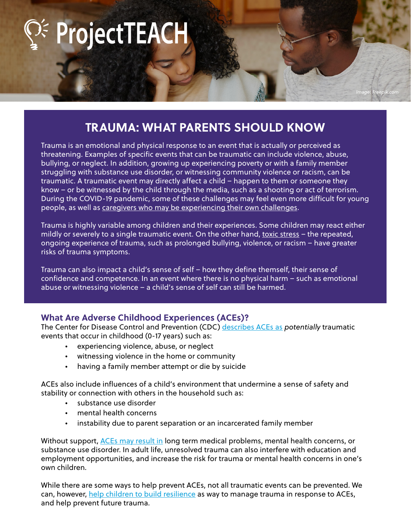ProjectTEACH

# **TRAUMA: WHAT PARENTS SHOULD KNOW**

*Image: Freepik.com*

Trauma is an emotional and physical response to an event that is actually or perceived as threatening. Examples of specific events that can be traumatic can include violence, abuse, bullying, or neglect. In addition, growing up experiencing poverty or with a family member struggling with substance use disorder, or witnessing community violence or racism, can be traumatic. A traumatic event may directly affect a child – happen to them or someone they know – or be witnessed by the child through the media, such as a shooting or act of terrorism. During the COVID-19 pandemic, some of these challenges may feel even more difficult for young people, as well as caregivers who may be experiencing their own challenges.

Trauma is highly variable among children and their experiences. Some children may react either mildly or severely to a single traumatic event. On the other hand, toxic stress - the repeated, ongoing experience of trauma, such as prolonged bullying, violence, or racism – have greater risks of trauma symptoms.

Trauma can also impact a child's sense of self – how they define themself, their sense of confidence and competence. In an event where there is no physical harm – such as emotional abuse or witnessing violence – a child's sense of self can still be harmed.

# **What Are Adverse Childhood Experiences (ACEs)?**

The Center for Disease Control and Prevention (CDC) describes ACEs as *potentially* traumatic events that occur in childhood (0-17 years) such as:

- experiencing violence, abuse, or neglect
- witnessing violence in the home or community
- having a family member attempt or die by suicide

ACEs also include influences of a child's environment that undermine a sense of safety and stability or connection with others in the household such as:

- substance use disorder
- mental health concerns
- instability due to parent separation or an incarcerated family member

Without support, ACEs may result in long term medical problems, mental health concerns, or substance use disorder. In adult life, unresolved trauma can also interfere with education and employment opportunities, and increase the risk for trauma or mental health concerns in one's own children.

While there are some ways to help prevent ACEs, not all traumatic events can be prevented. We can, however, help children to build resilience as way to manage trauma in response to ACEs, and help prevent future trauma.